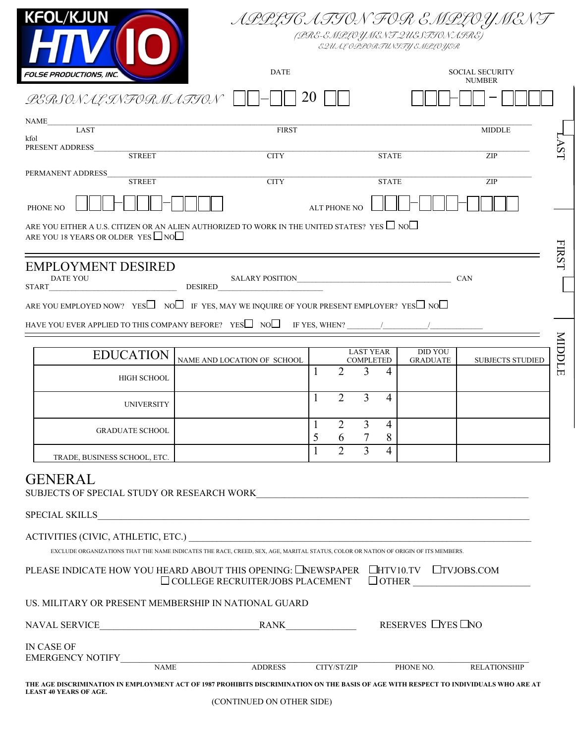



(PRE-EMPLOYMENT QUESTIONAIRE) EQUAL OPPORTUNITY EMPLOYER

| <b>FOLSE PRODUCTIONS, INC.</b>                                                                                                                                                                                                                                                                                                                                                                                                                                                                                | <b>DATE</b>                                          |                     |                     |                                      | <b>SOCIAL SECURITY</b><br><b>NUMBER</b> |                                   |                         |            |
|---------------------------------------------------------------------------------------------------------------------------------------------------------------------------------------------------------------------------------------------------------------------------------------------------------------------------------------------------------------------------------------------------------------------------------------------------------------------------------------------------------------|------------------------------------------------------|---------------------|---------------------|--------------------------------------|-----------------------------------------|-----------------------------------|-------------------------|------------|
| LERSONAL INFORMATION                                                                                                                                                                                                                                                                                                                                                                                                                                                                                          |                                                      | 20                  |                     |                                      |                                         |                                   |                         |            |
| <b>NAME</b><br>LAST                                                                                                                                                                                                                                                                                                                                                                                                                                                                                           | <b>FIRST</b>                                         |                     |                     |                                      | <b>MIDDLE</b>                           |                                   |                         |            |
| kfol<br>PRESENT ADDRESS<br><b>STREET</b>                                                                                                                                                                                                                                                                                                                                                                                                                                                                      | <b>CITY</b>                                          |                     |                     |                                      | <b>STATE</b>                            |                                   | ZIP                     | <b>AST</b> |
| PERMANENT ADDRESS<br><b>STREET</b>                                                                                                                                                                                                                                                                                                                                                                                                                                                                            | <b>CITY</b>                                          |                     |                     |                                      | <b>STATE</b>                            |                                   | ZIP                     |            |
| PHONE NO                                                                                                                                                                                                                                                                                                                                                                                                                                                                                                      |                                                      | <b>ALT PHONE NO</b> |                     |                                      |                                         |                                   |                         |            |
| ARE YOU EITHER A U.S. CITIZEN OR AN ALIEN AUTHORIZED TO WORK IN THE UNITED STATES? YES $\Box$ NO $\Box$<br>ARE YOU 18 YEARS OR OLDER YES $\Box$ NO $\Box$                                                                                                                                                                                                                                                                                                                                                     |                                                      |                     |                     |                                      |                                         |                                   |                         |            |
| <b>EMPLOYMENT DESIRED</b><br><b>DATE YOU</b><br><b>START</b>                                                                                                                                                                                                                                                                                                                                                                                                                                                  | SALARY POSITION CAN                                  |                     |                     |                                      |                                         |                                   |                         | FIRST      |
| ARE YOU EMPLOYED NOW? YES $\square$ NO $\square$ IF YES, MAY WE INQUIRE OF YOUR PRESENT EMPLOYER? YES $\square$ NO $\square$                                                                                                                                                                                                                                                                                                                                                                                  |                                                      |                     |                     |                                      |                                         |                                   |                         |            |
| HAVE YOU EVER APPLIED TO THIS COMPANY BEFORE? YES $\square$ NO $\square$ IF YES, WHEN?                                                                                                                                                                                                                                                                                                                                                                                                                        |                                                      |                     |                     |                                      |                                         |                                   |                         |            |
| <b>EDUCATION</b>                                                                                                                                                                                                                                                                                                                                                                                                                                                                                              | NAME AND LOCATION OF SCHOOL                          |                     |                     | <b>LAST YEAR</b><br><b>COMPLETED</b> |                                         | <b>DID YOU</b><br><b>GRADUATE</b> | <b>SUBJECTS STUDIED</b> | MIDDLE     |
| <b>HIGH SCHOOL</b>                                                                                                                                                                                                                                                                                                                                                                                                                                                                                            |                                                      | 1                   | 2                   | 3                                    | 4                                       |                                   |                         |            |
| <b>UNIVERSITY</b>                                                                                                                                                                                                                                                                                                                                                                                                                                                                                             |                                                      | $\mathbf{1}$        | 2                   | 3                                    | $\overline{4}$                          |                                   |                         |            |
| <b>GRADUATE SCHOOL</b>                                                                                                                                                                                                                                                                                                                                                                                                                                                                                        |                                                      | $\mathbf{1}$<br>5   | $\overline{2}$<br>6 | 3                                    | $\overline{4}$<br>8                     |                                   |                         |            |
| TRADE, BUSINESS SCHOOL, ETC.                                                                                                                                                                                                                                                                                                                                                                                                                                                                                  |                                                      | 1                   | $\overline{2}$      | 3                                    | $\overline{4}$                          |                                   |                         |            |
| <b>GENERAL</b><br>SUBJECTS OF SPECIAL STUDY OR RESEARCH WORK                                                                                                                                                                                                                                                                                                                                                                                                                                                  |                                                      |                     |                     |                                      |                                         |                                   |                         |            |
|                                                                                                                                                                                                                                                                                                                                                                                                                                                                                                               |                                                      |                     |                     |                                      |                                         |                                   |                         |            |
| EXCLUDE ORGANIZATIONS THAT THE NAME INDICATES THE RACE, CREED, SEX, AGE, MARITAL STATUS, COLOR OR NATION OF ORIGIN OF ITS MEMBERS.                                                                                                                                                                                                                                                                                                                                                                            |                                                      |                     |                     |                                      |                                         |                                   |                         |            |
| PLEASE INDICATE HOW YOU HEARD ABOUT THIS OPENING: LINEWSPAPER LIHTV10.TV LITVJOBS.COM                                                                                                                                                                                                                                                                                                                                                                                                                         | $\Box$ COLLEGE RECRUITER/JOBS PLACEMENT $\Box$ OTHER |                     |                     |                                      |                                         |                                   |                         |            |
| US. MILITARY OR PRESENT MEMBERSHIP IN NATIONAL GUARD                                                                                                                                                                                                                                                                                                                                                                                                                                                          |                                                      |                     |                     |                                      |                                         |                                   |                         |            |
| $\begin{tabular}{c} \bf{NAVAL} \textbf{SERVICE}\end{tabular} \begin{tabular}{c} \bf{RANK}\end{tabular} \begin{tabular}{c} \bf{RANK}\end{tabular} \begin{tabular}{c} \bf{RANK}\end{tabular} \begin{tabular}{c} \bf{RANK}\end{tabular} \end{tabular} \begin{tabular}{c} \bf{RANK}\end{tabular} \end{tabular} \begin{tabular}{c} \bf{RANK}\end{tabular} \end{tabular} \begin{tabular}{c} \bf{ARANK}\end{tabular} \begin{tabular}{c} \bf{ARARK}\end{tabular} \end{tabular} \begin{tabular}{c} \bf{ARARK}\end{tab$ |                                                      |                     |                     |                                      |                                         |                                   |                         |            |
| IN CASE OF                                                                                                                                                                                                                                                                                                                                                                                                                                                                                                    |                                                      |                     |                     |                                      |                                         |                                   |                         |            |
|                                                                                                                                                                                                                                                                                                                                                                                                                                                                                                               |                                                      |                     |                     | CITY/ST/ZIP                          | PHONE NO.                               |                                   | <b>RELATIONSHIP</b>     |            |
| THE AGE DISCRIMINATION IN EMPLOYMENT ACT OF 1987 PROHIBITS DISCRIMINATION ON THE BASIS OF AGE WITH RESPECT TO INDIVIDUALS WHO ARE AT<br><b>LEAST 40 YEARS OF AGE.</b>                                                                                                                                                                                                                                                                                                                                         |                                                      |                     |                     |                                      |                                         |                                   |                         |            |